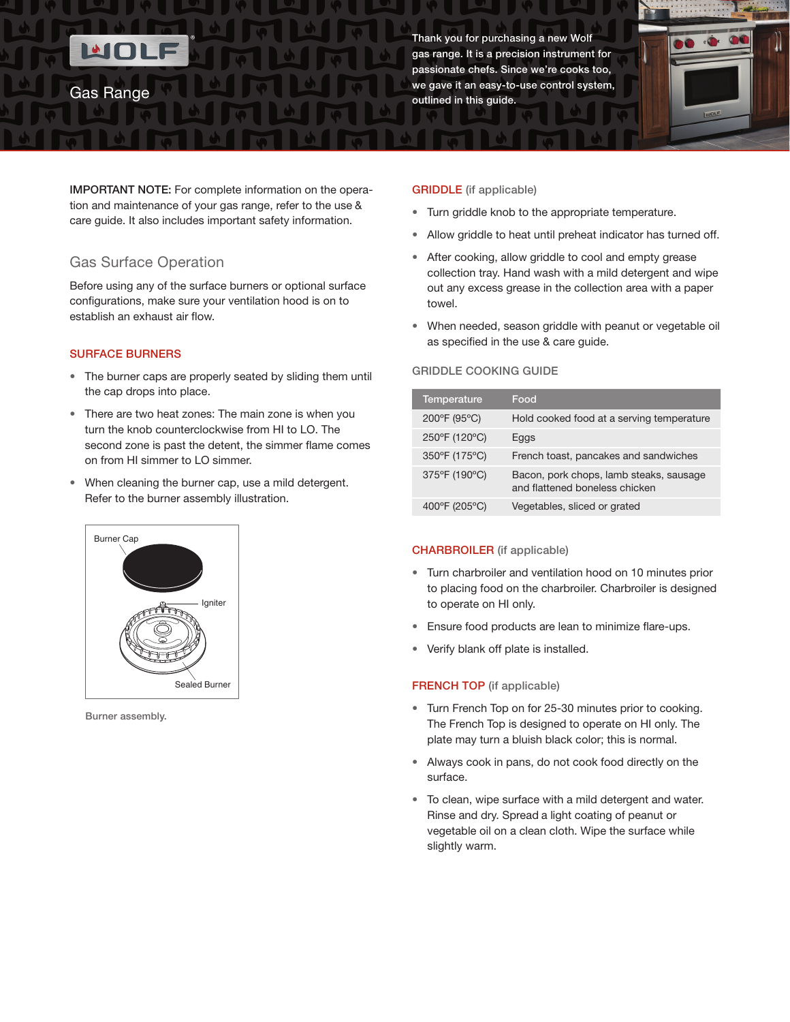Gas Surface Operation

establish an exhaust air flow.

the cap drops into place.

SURFACE BURNERS

tion and maintenance of your gas range, refer to the use & care guide. It also includes important safety information.

Before using any of the surface burners or optional surface configurations, make sure your ventilation hood is on to

• The burner caps are properly seated by sliding them until

• There are two heat zones: The main zone is when you turn the knob counterclockwise from HI to LO. The second zone is past the detent, the simmer flame comes

• When cleaning the burner cap, use a mild detergent.

Refer to the burner assembly illustration.

Gas Range

Thank you for purchasing a new Wolf gas range. It is a precision instrument for passionate chefs. Since we're cooks too, we gave it an easy-to-use control system, outlined in this guide.



- Turn griddle knob to the appropriate temperature.
- Allow griddle to heat until preheat indicator has turned off.
- After cooking, allow griddle to cool and empty grease collection tray. Hand wash with a mild detergent and wipe out any excess grease in the collection area with a paper towel.
- When needed, season griddle with peanut or vegetable oil as specified in the use & care guide.

### GRIDDLE Cooking Guide

| <b>Temperature</b> | Food                                                                      |
|--------------------|---------------------------------------------------------------------------|
| 200°F (95°C)       | Hold cooked food at a serving temperature                                 |
| 250°F (120°C)      | Eggs                                                                      |
| 350°F (175°C)      | French toast, pancakes and sandwiches                                     |
| 375°F (190°C)      | Bacon, pork chops, lamb steaks, sausage<br>and flattened boneless chicken |
| 400°F (205°C)      | Vegetables, sliced or grated                                              |

### CHARBROILER (if applicable)

- Turn charbroiler and ventilation hood on 10 minutes prior to placing food on the charbroiler. Charbroiler is designed to operate on HI only.
- Ensure food products are lean to minimize flare-ups.
- Verify blank off plate is installed.

### FRENCH TOP (if applicable)

- Turn French Top on for 25-30 minutes prior to cooking. The French Top is designed to operate on HI only. The plate may turn a bluish black color; this is normal.
- Always cook in pans, do not cook food directly on the surface.
- To clean, wipe surface with a mild detergent and water. Rinse and dry. Spread a light coating of peanut or vegetable oil on a clean cloth. Wipe the surface while slightly warm.



on from HI simmer to LO simmer.

Burner assembly.

# GRIDDLE (if applicable)

- 
-